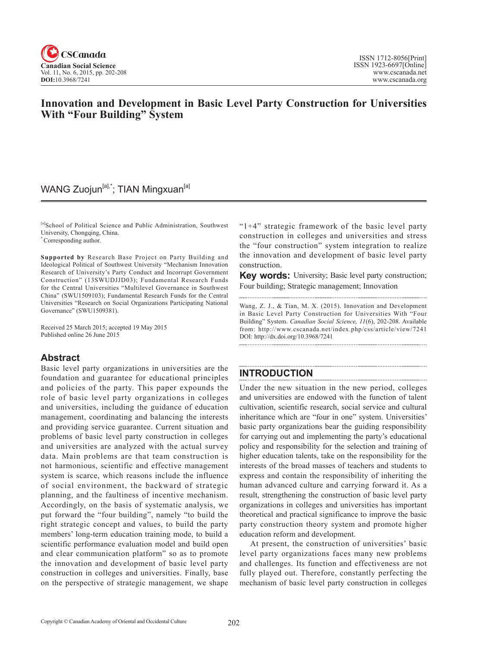

## **Innovation and Development in Basic Level Party Construction for Universities With "Four Building" System**

## WANG Zuojun<sup>[a],\*</sup>; TIAN Mingxuan<sup>[a]</sup>

[a]School of Political Science and Public Administration, Southwest University, Chongqing, China.

\* Corresponding author.

**Supported by** Research Base Project on Party Building and Ideological Political of Southwest University "Mechanism Innovation Research of University's Party Conduct and Incorrupt Government Construction" (13SWUDJJD03); Fundamental Research Funds for the Central Universities "Multilevel Governance in Southwest China" (SWU1509103); Fundamental Research Funds for the Central Universities "Research on Social Organizations Participating National Governance" (SWU1509381).

Received 25 March 2015; accepted 19 May 2015 Published online 26 June 2015

### **Abstract**

Basic level party organizations in universities are the foundation and guarantee for educational principles and policies of the party. This paper expounds the role of basic level party organizations in colleges and universities, including the guidance of education management, coordinating and balancing the interests and providing service guarantee. Current situation and problems of basic level party construction in colleges and universities are analyzed with the actual survey data. Main problems are that team construction is not harmonious, scientific and effective management system is scarce, which reasons include the influence of social environment, the backward of strategic planning, and the faultiness of incentive mechanism. Accordingly, on the basis of systematic analysis, we put forward the "four building", namely "to build the right strategic concept and values, to build the party members' long-term education training mode, to build a scientific performance evaluation model and build open and clear communication platform" so as to promote the innovation and development of basic level party construction in colleges and universities. Finally, base on the perspective of strategic management, we shape " $1+4$ " strategic framework of the basic level party construction in colleges and universities and stress the "four construction" system integration to realize the innovation and development of basic level party construction.

**Key words:** University; Basic level party construction; Four building; Strategic management; Innovation

Wang, Z. J., & Tian, M. X. (2015). Innovation and Development in Basic Level Party Construction for Universities With "Four Building" System. *Canadian Social Science*, <sup>11</sup>(6), 202-208. Available from: http://www.cscanada.net/index.php/css/article/view/7241 DOI: http://dx.doi.org/10.3968/7241

## **INTRODUCTION**

Under the new situation in the new period, colleges and universities are endowed with the function of talent cultivation, scientific research, social service and cultural inheritance which are "four in one" system. Universities' basic party organizations bear the guiding responsibility for carrying out and implementing the party's educational policy and responsibility for the selection and training of higher education talents, take on the responsibility for the interests of the broad masses of teachers and students to express and contain the responsibility of inheriting the human advanced culture and carrying forward it. As a result, strengthening the construction of basic level party organizations in colleges and universities has important theoretical and practical significance to improve the basic party construction theory system and promote higher education reform and development.

At present, the construction of universities' basic level party organizations faces many new problems and challenges. Its function and effectiveness are not fully played out. Therefore, constantly perfecting the mechanism of basic level party construction in colleges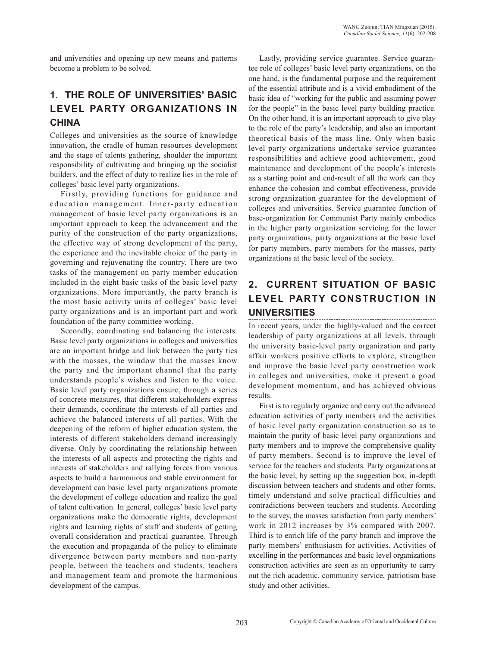and universities and opening up new means and patterns become a problem to be solved.

# **1. THE ROLE OF UNIVERSITIES' BASIC LEVEL PARTY ORGANIZATIONS IN CHINA**

Colleges and universities as the source of knowledge innovation, the cradle of human resources development and the stage of talents gathering, shoulder the important responsibility of cultivating and bringing up the socialist builders, and the effect of duty to realize lies in the role of colleges' basic level party organizations.

Firstly, providing functions for guidance and education management. Inner-party education management of basic level party organizations is an important approach to keep the advancement and the purity of the construction of the party organizations, the effective way of strong development of the party, the experience and the inevitable choice of the party in governing and rejuvenating the country. There are two tasks of the management on party member education included in the eight basic tasks of the basic level party organizations. More importantly, the party branch is the most basic activity units of colleges' basic level party organizations and is an important part and work foundation of the party committee working.

Secondly, coordinating and balancing the interests. Basic level party organizations in colleges and universities are an important bridge and link between the party ties with the masses, the window that the masses know the party and the important channel that the party understands people's wishes and listen to the voice. Basic level party organizations ensure, through a series of concrete measures, that different stakeholders express their demands, coordinate the interests of all parties and achieve the balanced interests of all parties. With the deepening of the reform of higher education system, the interests of different stakeholders demand increasingly diverse. Only by coordinating the relationship between the interests of all aspects and protecting the rights and interests of stakeholders and rallying forces from various aspects to build a harmonious and stable environment for development can basic level party organizations promote the development of college education and realize the goal of talent cultivation. In general, colleges' basic level party organizations make the democratic rights, development rights and learning rights of staff and students of getting overall consideration and practical guarantee. Through the execution and propaganda of the policy to eliminate divergence between party members and non-party people, between the teachers and students, teachers and management team and promote the harmonious development of the campus.

Lastly, providing service guarantee. Service guarantee role of colleges' basic level party organizations, on the one hand, is the fundamental purpose and the requirement of the essential attribute and is a vivid embodiment of the basic idea of "working for the public and assuming power for the people" in the basic level party building practice. On the other hand, it is an important approach to give play to the role of the party's leadership, and also an important theoretical basis of the mass line. Only when basic level party organizations undertake service guarantee responsibilities and achieve good achievement, good maintenance and development of the people's interests as a starting point and end-result of all the work can they enhance the cohesion and combat effectiveness, provide strong organization guarantee for the development of colleges and universities. Service guarantee function of base-organization for Communist Party mainly embodies in the higher party organization servicing for the lower party organizations, party organizations at the basic level for party members, party members for the masses, party organizations at the basic level of the society.

## **2. CURRENT SITUATION OF BASIC LEVEL PARTY CONSTRUCTION IN UNIVERSITIES**

In recent years, under the highly-valued and the correct leadership of party organizations at all levels, through the university basic-level party organization and party affair workers positive efforts to explore, strengthen and improve the basic level party construction work in colleges and universities, make it present a good development momentum, and has achieved obvious results.

First is to regularly organize and carry out the advanced education activities of party members and the activities of basic level party organization construction so as to maintain the purity of basic level party organizations and party members and to improve the comprehensive quality of party members. Second is to improve the level of service for the teachers and students. Party organizations at the basic level, by setting up the suggestion box, in-depth discussion between teachers and students and other forms, timely understand and solve practical difficulties and contradictions between teachers and students. According to the survey, the masses satisfaction from party members' work in 2012 increases by 3% compared with 2007. Third is to enrich life of the party branch and improve the party members' enthusiasm for activities. Activities of excelling in the performances and basic level organizations construction activities are seen as an opportunity to carry out the rich academic, community service, patriotism base study and other activities.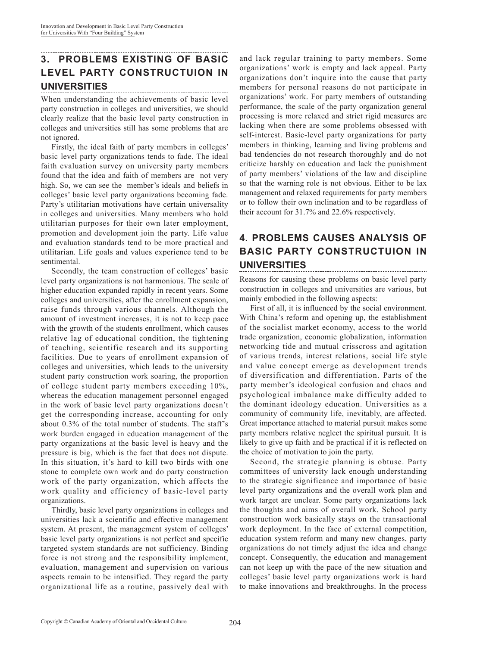### **3. PROBLEMS EXISTING OF BASIC LEVEL PARTY CONSTRUCTUION IN UNIVERSITIES**

When understanding the achievements of basic level party construction in colleges and universities, we should clearly realize that the basic level party construction in colleges and universities still has some problems that are not ignored.

Firstly, the ideal faith of party members in colleges' basic level party organizations tends to fade. The ideal faith evaluation survey on university party members found that the idea and faith of members are not very high. So, we can see the member's ideals and beliefs in colleges' basic level party organizations becoming fade. Party's utilitarian motivations have certain universality in colleges and universities. Many members who hold utilitarian purposes for their own later employment, promotion and development join the party. Life value and evaluation standards tend to be more practical and utilitarian. Life goals and values experience tend to be sentimental.

Secondly, the team construction of colleges' basic level party organizations is not harmonious. The scale of higher education expanded rapidly in recent years. Some colleges and universities, after the enrollment expansion, raise funds through various channels. Although the amount of investment increases, it is not to keep pace with the growth of the students enrollment, which causes relative lag of educational condition, the tightening of teaching, scientific research and its supporting facilities. Due to years of enrollment expansion of colleges and universities, which leads to the university student party construction work soaring, the proportion of college student party members exceeding 10%, whereas the education management personnel engaged in the work of basic level party organizations doesn't get the corresponding increase, accounting for only about 0.3% of the total number of students. The staff's work burden engaged in education management of the party organizations at the basic level is heavy and the pressure is big, which is the fact that does not dispute. In this situation, it's hard to kill two birds with one stone to complete own work and do party construction work of the party organization, which affects the work quality and efficiency of basic-level party organizations.

Thirdly, basic level party organizations in colleges and universities lack a scientific and effective management system. At present, the management system of colleges' basic level party organizations is not perfect and specific targeted system standards are not sufficiency. Binding force is not strong and the responsibility implement, evaluation, management and supervision on various aspects remain to be intensified. They regard the party organizational life as a routine, passively deal with and lack regular training to party members. Some organizations' work is empty and lack appeal. Party organizations don't inquire into the cause that party members for personal reasons do not participate in organizations' work. For party members of outstanding performance, the scale of the party organization general processing is more relaxed and strict rigid measures are lacking when there are some problems obsessed with self-interest. Basic-level party organizations for party members in thinking, learning and living problems and bad tendencies do not research thoroughly and do not criticize harshly on education and lack the punishment of party members' violations of the law and discipline so that the warning role is not obvious. Either to be lax management and relaxed requirements for party members or to follow their own inclination and to be regardless of their account for 31.7% and 22.6% respectively.

#### **4. PROBLEMS CAUSES ANALYSIS OF BASIC PARTY CONSTRUCTUION IN UNIVERSITIES**

Reasons for causing these problems on basic level party construction in colleges and universities are various, but mainly embodied in the following aspects:

First of all, it is influenced by the social environment. With China's reform and opening up, the establishment of the socialist market economy, access to the world trade organization, economic globalization, information networking tide and mutual crisscross and agitation of various trends, interest relations, social life style and value concept emerge as development trends of diversification and differentiation. Parts of the party member's ideological confusion and chaos and psychological imbalance make difficulty added to the dominant ideology education. Universities as a community of community life, inevitably, are affected. Great importance attached to material pursuit makes some party members relative neglect the spiritual pursuit. It is likely to give up faith and be practical if it is reflected on the choice of motivation to join the party.

Second, the strategic planning is obtuse. Party committees of university lack enough understanding to the strategic significance and importance of basic level party organizations and the overall work plan and work target are unclear. Some party organizations lack the thoughts and aims of overall work. School party construction work basically stays on the transactional work deployment. In the face of external competition, education system reform and many new changes, party organizations do not timely adjust the idea and change concept. Consequently, the education and management can not keep up with the pace of the new situation and colleges' basic level party organizations work is hard to make innovations and breakthroughs. In the process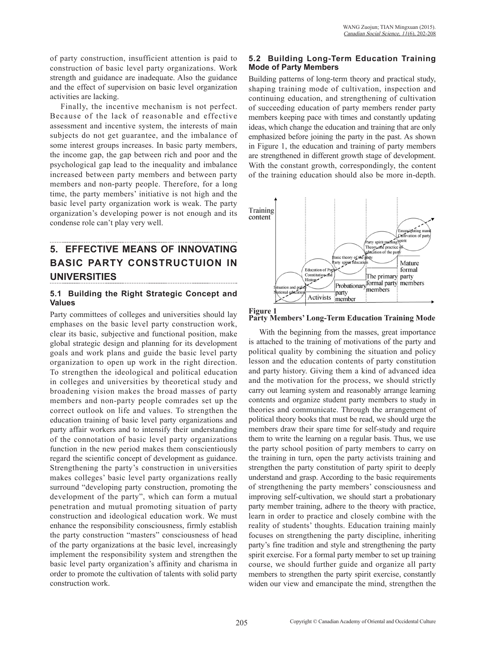of party construction, insufficient attention is paid to construction of basic level party organizations. Work strength and guidance are inadequate. Also the guidance and the effect of supervision on basic level organization activities are lacking.

Finally, the incentive mechanism is not perfect. Because of the lack of reasonable and effective assessment and incentive system, the interests of main subjects do not get guarantee, and the imbalance of some interest groups increases. In basic party members, the income gap, the gap between rich and poor and the psychological gap lead to the inequality and imbalance increased between party members and between party members and non-party people. Therefore, for a long time, the party members' initiative is not high and the basic level party organization work is weak. The party organization's developing power is not enough and its condense role can't play very well.

# **5. EFFECTIVE MEANS OF INNOVATING BASIC PARTY CONSTRUCTUION IN UNIVERSITIES**

### **5.1 Building the Right Strategic Concept and Values**

Party committees of colleges and universities should lay emphases on the basic level party construction work, clear its basic, subjective and functional position, make global strategic design and planning for its development goals and work plans and guide the basic level party organization to open up work in the right direction. To strengthen the ideological and political education in colleges and universities by theoretical study and broadening vision makes the broad masses of party members and non-party people comrades set up the correct outlook on life and values. To strengthen the education training of basic level party organizations and party affair workers and to intensify their understanding of the connotation of basic level party organizations function in the new period makes them conscientiously regard the scientific concept of development as guidance. Strengthening the party's construction in universities makes colleges' basic level party organizations really surround "developing party construction, promoting the development of the party", which can form a mutual penetration and mutual promoting situation of party construction and ideological education work. We must enhance the responsibility consciousness, firmly establish the party construction "masters" consciousness of head of the party organizations at the basic level, increasingly implement the responsibility system and strengthen the basic level party organization's affinity and charisma in order to promote the cultivation of talents with solid party construction work.

## **5.2 Building Long-Term Education Training Mode of Party Members**

Building patterns of long-term theory and practical study, shaping training mode of cultivation, inspection and continuing education, and strengthening of cultivation of succeeding education of party members render party members keeping pace with times and constantly updating ideas, which change the education and training that are only emphasized before joining the party in the past. As shown in Figure 1, the education and training of party members are strengthened in different growth stage of development. With the constant growth, correspondingly, the content of the training education should also be more in-depth.





With the beginning from the masses, great importance is attached to the training of motivations of the party and political quality by combining the situation and policy lesson and the education contents of party constitution and party history. Giving them a kind of advanced idea and the motivation for the process, we should strictly carry out learning system and reasonably arrange learning contents and organize student party members to study in theories and communicate. Through the arrangement of political theory books that must be read, we should urge the members draw their spare time for self-study and require them to write the learning on a regular basis. Thus, we use the party school position of party members to carry on the training in turn, open the party activists training and strengthen the party constitution of party spirit to deeply understand and grasp. According to the basic requirements of strengthening the party members' consciousness and improving self-cultivation, we should start a probationary party member training, adhere to the theory with practice, learn in order to practice and closely combine with the reality of students' thoughts. Education training mainly focuses on strengthening the party discipline, inheriting party's fine tradition and style and strengthening the party spirit exercise. For a formal party member to set up training course, we should further guide and organize all party members to strengthen the party spirit exercise, constantly widen our view and emancipate the mind, strengthen the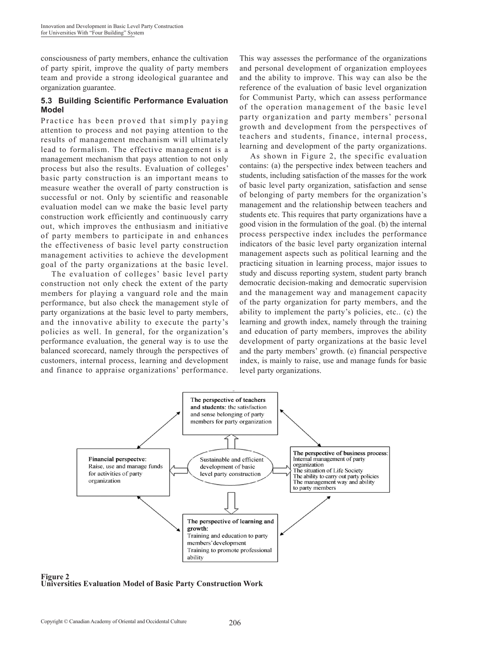consciousness of party members, enhance the cultivation of party spirit, improve the quality of party members team and provide a strong ideological guarantee and organization guarantee.

### **5.3 Building Scientific Performance Evaluation Model**

Practice has been proved that simply paying attention to process and not paying attention to the results of management mechanism will ultimately lead to formalism. The effective management is a management mechanism that pays attention to not only process but also the results. Evaluation of colleges' basic party construction is an important means to measure weather the overall of party construction is successful or not. Only by scientific and reasonable evaluation model can we make the basic level party construction work efficiently and continuously carry out, which improves the enthusiasm and initiative of party members to participate in and enhances the effectiveness of basic level party construction management activities to achieve the development goal of the party organizations at the basic level.

The evaluation of colleges' basic level party construction not only check the extent of the party members for playing a vanguard role and the main performance, but also check the management style of party organizations at the basic level to party members, and the innovative ability to execute the party's policies as well. In general, for the organization's performance evaluation, the general way is to use the balanced scorecard, namely through the perspectives of customers, internal process, learning and development and finance to appraise organizations' performance.

This way assesses the performance of the organizations and personal development of organization employees and the ability to improve. This way can also be the reference of the evaluation of basic level organization for Communist Party, which can assess performance of the operation management of the basic level party organization and party members' personal growth and development from the perspectives of teachers and students, finance, internal process, learning and development of the party organizations.

As shown in Figure 2, the specific evaluation contains: (a) the perspective index between teachers and students, including satisfaction of the masses for the work of basic level party organization, satisfaction and sense of belonging of party members for the organization's management and the relationship between teachers and students etc. This requires that party organizations have a good vision in the formulation of the goal. (b) the internal process perspective index includes the performance indicators of the basic level party organization internal management aspects such as political learning and the practicing situation in learning process, major issues to study and discuss reporting system, student party branch democratic decision-making and democratic supervision and the management way and management capacity of the party organization for party members, and the ability to implement the party's policies, etc.. (c) the learning and growth index, namely through the training and education of party members, improves the ability development of party organizations at the basic level and the party members' growth. (e) financial perspective index, is mainly to raise, use and manage funds for basic level party organizations.



**Figure 2 Universities Evaluation Model of Basic Party Construction Work**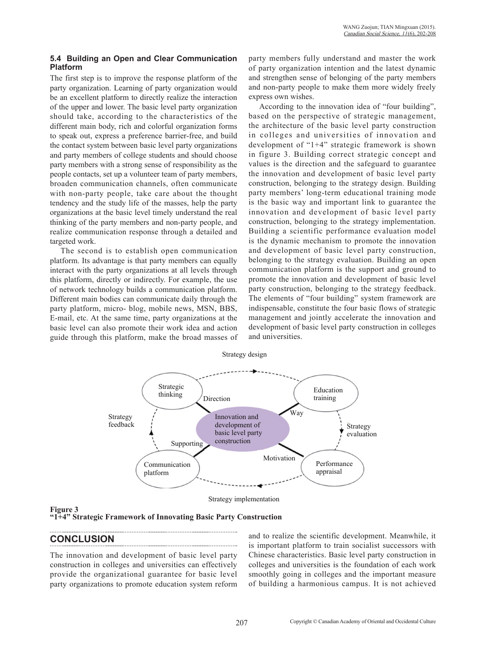#### **5.4 Building an Open and Clear Communication Platform**

The first step is to improve the response platform of the party organization. Learning of party organization would be an excellent platform to directly realize the interaction of the upper and lower. The basic level party organization should take, according to the characteristics of the different main body, rich and colorful organization forms to speak out, express a preference barrier-free, and build the contact system between basic level party organizations and party members of college students and should choose party members with a strong sense of responsibility as the people contacts, set up a volunteer team of party members, broaden communication channels, often communicate with non-party people, take care about the thought tendency and the study life of the masses, help the party organizations at the basic level timely understand the real thinking of the party members and non-party people, and realize communication response through a detailed and targeted work.

The second is to establish open communication platform. Its advantage is that party members can equally interact with the party organizations at all levels through this platform, directly or indirectly. For example, the use of network technology builds a communication platform. Different main bodies can communicate daily through the party platform, micro- blog, mobile news, MSN, BBS, E-mail, etc. At the same time, party organizations at the basic level can also promote their work idea and action guide through this platform, make the broad masses of party members fully understand and master the work of party organization intention and the latest dynamic and strengthen sense of belonging of the party members and non-party people to make them more widely freely express own wishes.

According to the innovation idea of "four building", based on the perspective of strategic management, the architecture of the basic level party construction in colleges and universities of innovation and development of "1+4" strategic framework is shown in figure 3. Building correct strategic concept and values is the direction and the safeguard to guarantee the innovation and development of basic level party construction, belonging to the strategy design. Building party members' long-term educational training mode is the basic way and important link to guarantee the innovation and development of basic level party construction, belonging to the strategy implementation. Building a scientific performance evaluation model is the dynamic mechanism to promote the innovation and development of basic level party construction, belonging to the strategy evaluation. Building an open communication platform is the support and ground to promote the innovation and development of basic level party construction, belonging to the strategy feedback. The elements of "four building" system framework are indispensable, constitute the four basic flows of strategic management and jointly accelerate the innovation and development of basic level party construction in colleges and universities.



Strategy design

Strategy implementation

### **Figure 3**

**"1+4" Strategic Framework of Innovating Basic Party Construction**

## **CONCLUSION**

The innovation and development of basic level party construction in colleges and universities can effectively provide the organizational guarantee for basic level party organizations to promote education system reform

and to realize the scientific development. Meanwhile, it is important platform to train socialist successors with Chinese characteristics. Basic level party construction in colleges and universities is the foundation of each work smoothly going in colleges and the important measure of building a harmonious campus. It is not achieved